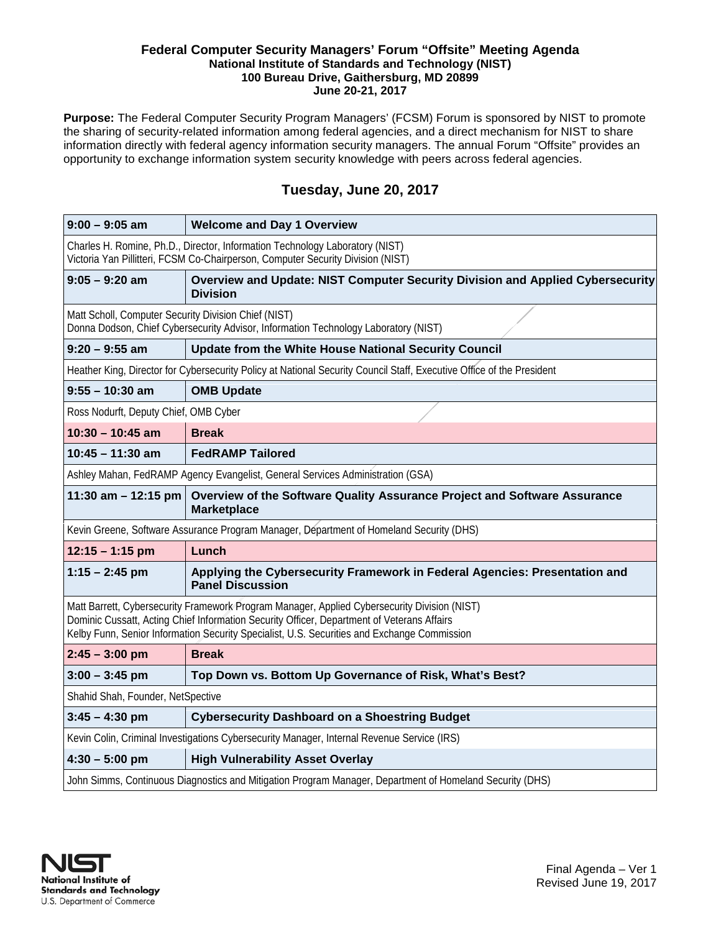#### **Federal Computer Security Managers' Forum "Offsite" Meeting Agenda National Institute of Standards and Technology (NIST) 100 Bureau Drive, Gaithersburg, MD 20899 June 20-21, 2017**

**Purpose:** The Federal Computer Security Program Managers' (FCSM) Forum is sponsored by NIST to promote the sharing of security-related information among federal agencies, and a direct mechanism for NIST to share information directly with federal agency information security managers. The annual Forum "Offsite" provides an opportunity to exchange information system security knowledge with peers across federal agencies.

# **Tuesday, June 20, 2017**

| $9:00 - 9:05$ am                                                                                                                                                                                                                                                                          | <b>Welcome and Day 1 Overview</b>                                                                     |
|-------------------------------------------------------------------------------------------------------------------------------------------------------------------------------------------------------------------------------------------------------------------------------------------|-------------------------------------------------------------------------------------------------------|
| Charles H. Romine, Ph.D., Director, Information Technology Laboratory (NIST)<br>Victoria Yan Pillitteri, FCSM Co-Chairperson, Computer Security Division (NIST)                                                                                                                           |                                                                                                       |
| $9:05 - 9:20$ am                                                                                                                                                                                                                                                                          | Overview and Update: NIST Computer Security Division and Applied Cybersecurity<br><b>Division</b>     |
| Matt Scholl, Computer Security Division Chief (NIST)<br>Donna Dodson, Chief Cybersecurity Advisor, Information Technology Laboratory (NIST)                                                                                                                                               |                                                                                                       |
| $9:20 - 9:55$ am                                                                                                                                                                                                                                                                          | Update from the White House National Security Council                                                 |
| Heather King, Director for Cybersecurity Policy at National Security Council Staff, Executive Office of the President                                                                                                                                                                     |                                                                                                       |
| $9:55 - 10:30$ am                                                                                                                                                                                                                                                                         | <b>OMB Update</b>                                                                                     |
| Ross Nodurft, Deputy Chief, OMB Cyber                                                                                                                                                                                                                                                     |                                                                                                       |
| $10:30 - 10:45$ am                                                                                                                                                                                                                                                                        | <b>Break</b>                                                                                          |
| $10:45 - 11:30$ am                                                                                                                                                                                                                                                                        | <b>FedRAMP Tailored</b>                                                                               |
| Ashley Mahan, FedRAMP Agency Evangelist, General Services Administration (GSA)                                                                                                                                                                                                            |                                                                                                       |
| 11:30 am $-$ 12:15 pm                                                                                                                                                                                                                                                                     | Overview of the Software Quality Assurance Project and Software Assurance<br><b>Marketplace</b>       |
| Kevin Greene, Software Assurance Program Manager, Department of Homeland Security (DHS)                                                                                                                                                                                                   |                                                                                                       |
| $12:15 - 1:15$ pm                                                                                                                                                                                                                                                                         | Lunch                                                                                                 |
| $1:15 - 2:45$ pm                                                                                                                                                                                                                                                                          | Applying the Cybersecurity Framework in Federal Agencies: Presentation and<br><b>Panel Discussion</b> |
| Matt Barrett, Cybersecurity Framework Program Manager, Applied Cybersecurity Division (NIST)<br>Dominic Cussatt, Acting Chief Information Security Officer, Department of Veterans Affairs<br>Kelby Funn, Senior Information Security Specialist, U.S. Securities and Exchange Commission |                                                                                                       |
| $2:45 - 3:00$ pm                                                                                                                                                                                                                                                                          | <b>Break</b>                                                                                          |
| $3:00 - 3:45$ pm                                                                                                                                                                                                                                                                          | Top Down vs. Bottom Up Governance of Risk, What's Best?                                               |
| Shahid Shah, Founder, NetSpective                                                                                                                                                                                                                                                         |                                                                                                       |
| $3:45 - 4:30$ pm                                                                                                                                                                                                                                                                          | <b>Cybersecurity Dashboard on a Shoestring Budget</b>                                                 |
| Kevin Colin, Criminal Investigations Cybersecurity Manager, Internal Revenue Service (IRS)                                                                                                                                                                                                |                                                                                                       |
| $4:30 - 5:00$ pm                                                                                                                                                                                                                                                                          | <b>High Vulnerability Asset Overlay</b>                                                               |
| John Simms, Continuous Diagnostics and Mitigation Program Manager, Department of Homeland Security (DHS)                                                                                                                                                                                  |                                                                                                       |